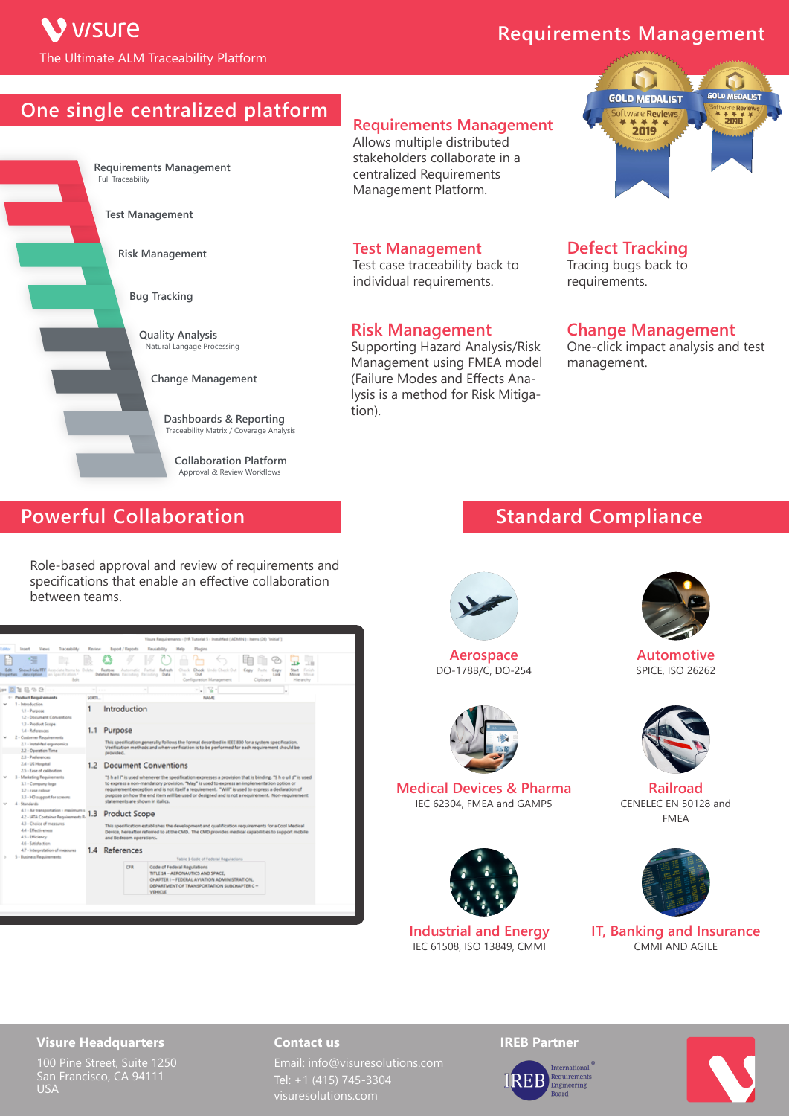V v/sure The Ultimate ALM Traceability Platform

## **Requirements Management**

**GOLD MEDALIST** 

# **One single centralized platform**



## **Requirements Management**

Allows multiple distributed stakeholders collaborate in a centralized Requirements Management Platform.

#### **Test Management**

Test case traceability back to individual requirements.

#### **Risk Management**

Supporting Hazard Analysis/Risk Management using FMEA model (Failure Modes and Effects Analysis is a method for Risk Mitigation).

# ware **Reviews**  $7 + 7$  $7 + 7 + 7$

GOLD MEDALIST

**Defect Tracking** Tracing bugs back to requirements.

#### **Change Management**

One-click impact analysis and test management.

## **Powerful Collaboration**

Role-based approval and review of requirements and specifications that enable an effective collaboration between teams.



# **Standard Compliance**



**Aerospace** DO-178B/C, DO-254



**Medical Devices & Pharma** IEC 62304, FMEA and GAMP5



**Industrial and Energy** IEC 61508, ISO 13849, CMMI



**Automotive** SPICE, ISO 26262



**Railroad** CENELEC EN 50128 and FMEA



**IT, Banking and Insurance** CMMI AND AGILE

#### **Visure Headquarters**

100 Pine Street, Suite 1250 San Francisco, CA 94111 USA

#### **Contact us**

Email: info@visuresolutions.com visuresolutions.com

#### **IREB Partner**